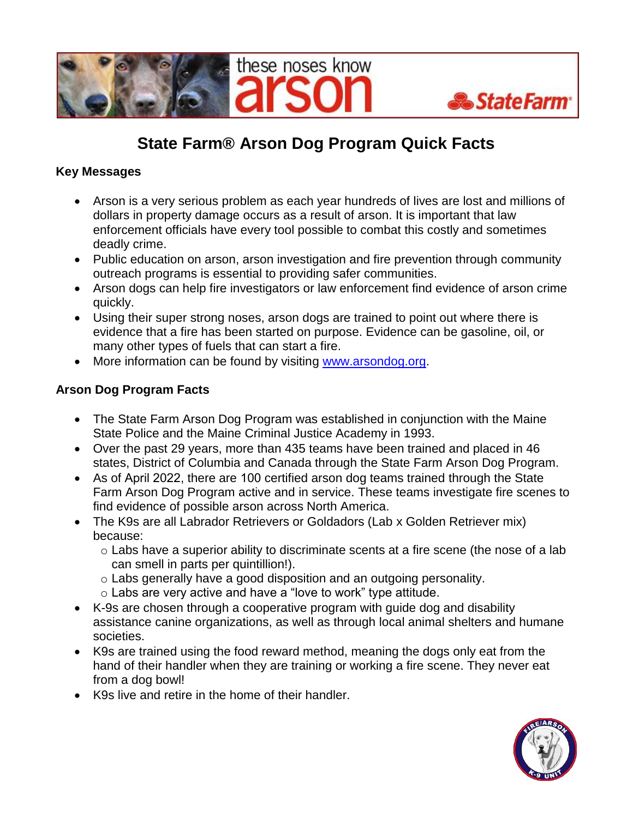



## **State Farm® Arson Dog Program Quick Facts**

## **Key Messages**

- Arson is a very serious problem as each year hundreds of lives are lost and millions of dollars in property damage occurs as a result of arson. It is important that law enforcement officials have every tool possible to combat this costly and sometimes deadly crime.
- Public education on arson, arson investigation and fire prevention through community outreach programs is essential to providing safer communities.
- Arson dogs can help fire investigators or law enforcement find evidence of arson crime quickly.
- Using their super strong noses, arson dogs are trained to point out where there is evidence that a fire has been started on purpose. Evidence can be gasoline, oil, or many other types of fuels that can start a fire.
- More information can be found by visiting [www.arsondog.org.](http://www.arsondog.org/)

## **Arson Dog Program Facts**

- The State Farm Arson Dog Program was established in conjunction with the Maine State Police and the Maine Criminal Justice Academy in 1993.
- Over the past 29 years, more than 435 teams have been trained and placed in 46 states, District of Columbia and Canada through the State Farm Arson Dog Program.
- As of April 2022, there are 100 certified arson dog teams trained through the State Farm Arson Dog Program active and in service. These teams investigate fire scenes to find evidence of possible arson across North America.
- The K9s are all Labrador Retrievers or Goldadors (Lab x Golden Retriever mix) because:
	- o Labs have a superior ability to discriminate scents at a fire scene (the nose of a lab can smell in parts per quintillion!).
	- o Labs generally have a good disposition and an outgoing personality.
	- o Labs are very active and have a "love to work" type attitude.
- K-9s are chosen through a cooperative program with guide dog and disability assistance canine organizations, as well as through local animal shelters and humane societies.
- K9s are trained using the food reward method, meaning the dogs only eat from the hand of their handler when they are training or working a fire scene. They never eat from a dog bowl!
- K9s live and retire in the home of their handler.